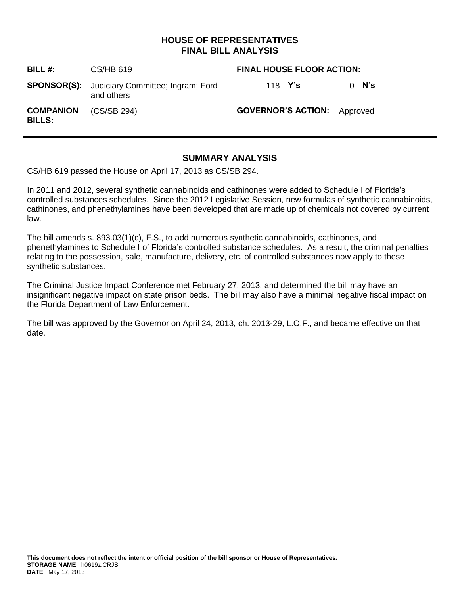## **HOUSE OF REPRESENTATIVES FINAL BILL ANALYSIS**

| BILL $#$ :                        | CS/HB 619                                                          | <b>FINAL HOUSE FLOOR ACTION:</b>   |            |
|-----------------------------------|--------------------------------------------------------------------|------------------------------------|------------|
|                                   | <b>SPONSOR(S):</b> Judiciary Committee; Ingram; Ford<br>and others | 118 <b>Y's</b>                     | $0 \,$ N's |
| <b>COMPANION</b><br><b>BILLS:</b> | (CS/SB 294)                                                        | <b>GOVERNOR'S ACTION:</b> Approved |            |

### **SUMMARY ANALYSIS**

CS/HB 619 passed the House on April 17, 2013 as CS/SB 294.

In 2011 and 2012, several synthetic cannabinoids and cathinones were added to Schedule I of Florida's controlled substances schedules. Since the 2012 Legislative Session, new formulas of synthetic cannabinoids, cathinones, and phenethylamines have been developed that are made up of chemicals not covered by current law.

The bill amends s. 893.03(1)(c), F.S., to add numerous synthetic cannabinoids, cathinones, and phenethylamines to Schedule I of Florida's controlled substance schedules. As a result, the criminal penalties relating to the possession, sale, manufacture, delivery, etc. of controlled substances now apply to these synthetic substances.

The Criminal Justice Impact Conference met February 27, 2013, and determined the bill may have an insignificant negative impact on state prison beds. The bill may also have a minimal negative fiscal impact on the Florida Department of Law Enforcement.

The bill was approved by the Governor on April 24, 2013, ch. 2013-29, L.O.F., and became effective on that date.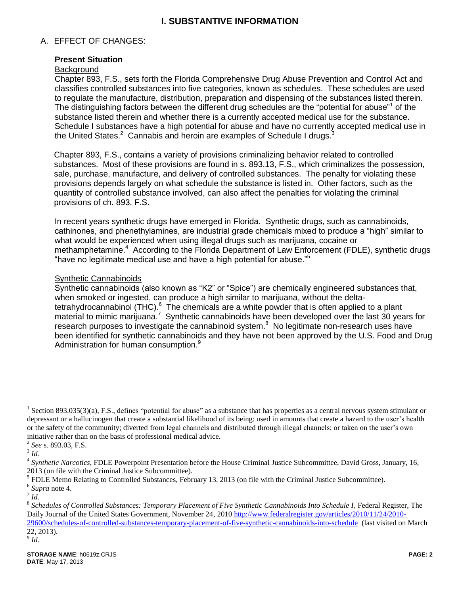# **I. SUBSTANTIVE INFORMATION**

### A. EFFECT OF CHANGES:

#### **Present Situation**

#### **Background**

Chapter 893, F.S., sets forth the Florida Comprehensive Drug Abuse Prevention and Control Act and classifies controlled substances into five categories, known as schedules. These schedules are used to regulate the manufacture, distribution, preparation and dispensing of the substances listed therein. The distinguishing factors between the different drug schedules are the "potential for abuse"<sup>1</sup> of the substance listed therein and whether there is a currently accepted medical use for the substance. Schedule I substances have a high potential for abuse and have no currently accepted medical use in the United States. $2$  Cannabis and heroin are examples of Schedule I drugs.<sup>3</sup>

Chapter 893, F.S., contains a variety of provisions criminalizing behavior related to controlled substances. Most of these provisions are found in s. 893.13, F.S., which criminalizes the possession, sale, purchase, manufacture, and delivery of controlled substances. The penalty for violating these provisions depends largely on what schedule the substance is listed in. Other factors, such as the quantity of controlled substance involved, can also affect the penalties for violating the criminal provisions of ch. 893, F.S.

In recent years synthetic drugs have emerged in Florida. Synthetic drugs, such as cannabinoids, cathinones, and phenethylamines, are industrial grade chemicals mixed to produce a "high" similar to what would be experienced when using illegal drugs such as marijuana, cocaine or methamphetamine.<sup>4</sup> According to the Florida Department of Law Enforcement (FDLE), synthetic drugs "have no legitimate medical use and have a high potential for abuse."<sup>5</sup>

#### Synthetic Cannabinoids

Synthetic cannabinoids (also known as "K2" or "Spice") are chemically engineered substances that, when smoked or ingested, can produce a high similar to marijuana, without the deltatetrahydrocannabinol (THC).<sup>6</sup> The chemicals are a white powder that is often applied to a plant material to mimic marijuana.<sup>7</sup> Synthetic cannabinoids have been developed over the last 30 years for research purposes to investigate the cannabinoid system.<sup>8</sup> No legitimate non-research uses have been identified for synthetic cannabinoids and they have not been approved by the U.S. Food and Drug Administration for human consumption.<sup>9</sup>

 $\overline{a}$ 

9 *Id.*

<sup>&</sup>lt;sup>1</sup> Section 893.035(3)(a), F.S., defines "potential for abuse" as a substance that has properties as a central nervous system stimulant or depressant or a hallucinogen that create a substantial likelihood of its being: used in amounts that create a hazard to the user's health or the safety of the community; diverted from legal channels and distributed through illegal channels; or taken on the user's own initiative rather than on the basis of professional medical advice.

<sup>2</sup> *See* s. 893.03, F.S.

<sup>3</sup> *Id.*

<sup>4</sup> *Synthetic Narcotics*, FDLE Powerpoint Presentation before the House Criminal Justice Subcommittee, David Gross, January, 16, 2013 (on file with the Criminal Justice Subcommittee).

 $<sup>5</sup>$  FDLE Memo Relating to Controlled Substances, February 13, 2013 (on file with the Criminal Justice Subcommittee).</sup>

<sup>6</sup> *Supra* note 4. 7 *Id*.

<sup>8</sup> *Schedules of Controlled Substances: Temporary Placement of Five Synthetic Cannabinoids Into Schedule I*, Federal Register, The Daily Journal of the United States Government, November 24, 201[0 http://www.federalregister.gov/articles/2010/11/24/2010-](http://www.federalregister.gov/articles/2010/11/24/2010-29600/schedules-of-controlled-substances-temporary-placement-of-five-synthetic-cannabinoids-into-schedule) [29600/schedules-of-controlled-substances-temporary-placement-of-five-synthetic-cannabinoids-into-schedule](http://www.federalregister.gov/articles/2010/11/24/2010-29600/schedules-of-controlled-substances-temporary-placement-of-five-synthetic-cannabinoids-into-schedule) (last visited on March 22, 2013).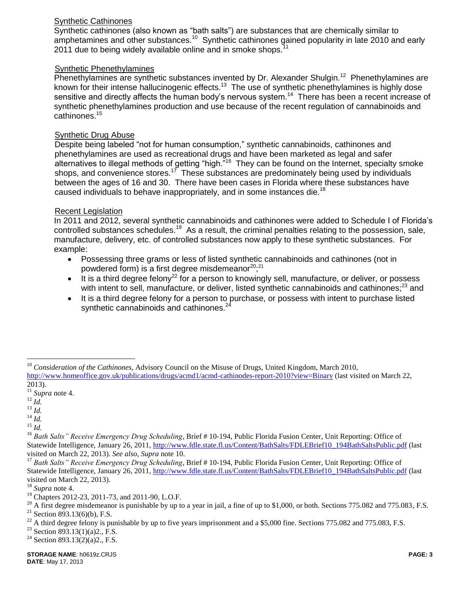### Synthetic Cathinones

Synthetic cathinones (also known as "bath salts") are substances that are chemically similar to amphetamines and other substances.<sup>10</sup> Synthetic cathinones gained popularity in late 2010 and early 2011 due to being widely available online and in smoke shops.<sup>1</sup>

### Synthetic Phenethylamines

Phenethylamines are synthetic substances invented by Dr. Alexander Shulgin.<sup>12</sup> Phenethylamines are known for their intense hallucinogenic effects.<sup>13</sup> The use of synthetic phenethylamines is highly dose sensitive and directly affects the human body's nervous system.<sup>14</sup> There has been a recent increase of synthetic phenethylamines production and use because of the recent regulation of cannabinoids and cathinones.<sup>15</sup>

### Synthetic Drug Abuse

Despite being labeled "not for human consumption," synthetic cannabinoids, cathinones and phenethylamines are used as recreational drugs and have been marketed as legal and safer alternatives to illegal methods of getting "high."<sup>16</sup> They can be found on the Internet, specialty smoke shops, and convenience stores.<sup>17</sup> These substances are predominately being used by individuals between the ages of 16 and 30. There have been cases in Florida where these substances have caused individuals to behave inappropriately, and in some instances die.<sup>18</sup>

### Recent Legislation

In 2011 and 2012, several synthetic cannabinoids and cathinones were added to Schedule I of Florida's controlled substances schedules.<sup>19</sup> As a result, the criminal penalties relating to the possession, sale, manufacture, delivery, etc. of controlled substances now apply to these synthetic substances. For example:

- Possessing three grams or less of listed synthetic cannabinoids and cathinones (not in powdered form) is a first degree misdemeanor<sup>20</sup>,<sup>21</sup>
- $\bullet$  It is a third degree felony<sup>22</sup> for a person to knowingly sell, manufacture, or deliver, or possess with intent to sell, manufacture, or deliver, listed synthetic cannabinoids and cathinones;<sup>23</sup> and
- It is a third degree felony for a person to purchase, or possess with intent to purchase listed synthetic cannabinoids and cathinones.<sup>24</sup>

 $\overline{a}$ 

<sup>&</sup>lt;sup>10</sup> Consideration of the Cathinones, Advisory Council on the Misuse of Drugs, United Kingdom, March 2010, <http://www.homeoffice.gov.uk/publications/drugs/acmd1/acmd-cathinodes-report-2010?view=Binary> (last visited on March 22, 2013).

<sup>11</sup> *Supra* note 4.

<sup>12</sup> *Id.*

<sup>13</sup> *Id.*

<sup>14</sup> *Id.*

<sup>15</sup> *Id.*

<sup>16</sup> *Bath Salts" Receive Emergency Drug Scheduling*, Brief # 10-194, Public Florida Fusion Center, Unit Reporting: Office of Statewide Intelligence, January 26, 2011[, http://www.fdle.state.fl.us/Content/BathSalts/FDLEBrief10\\_194BathSaltsPublic.pdf](http://www.fdle.state.fl.us/Content/BathSalts/FDLEBrief10_194BathSaltsPublic.pdf) (last visited on March 22, 2013). *See also, Supra* note 10.

<sup>&</sup>lt;sup>17</sup> Bath Salts" Receive Emergency Drug Scheduling, Brief # 10-194, Public Florida Fusion Center, Unit Reporting: Office of Statewide Intelligence, January 26, 2011[, http://www.fdle.state.fl.us/Content/BathSalts/FDLEBrief10\\_194BathSaltsPublic.pdf](http://www.fdle.state.fl.us/Content/BathSalts/FDLEBrief10_194BathSaltsPublic.pdf) (last visited on March 22, 2013).

<sup>18</sup> *Supra* note 4.

<sup>&</sup>lt;sup>19</sup> Chapters 2012-23, 2011-73, and 2011-90, L.O.F.

 $20$  A first degree misdemeanor is punishable by up to a year in jail, a fine of up to \$1,000, or both. Sections 775.082 and 775.083, F.S.

<sup>&</sup>lt;sup>21</sup> Section 893.13(6)(b), F.S.

 $^{22}$  A third degree felony is punishable by up to five years imprisonment and a \$5,000 fine. Sections 775.082 and 775.083, F.S.

<sup>&</sup>lt;sup>23</sup> Section 893.13(1)(a)2., F.S.

<sup>&</sup>lt;sup>24</sup> Section 893.13(2)(a)2., F.S.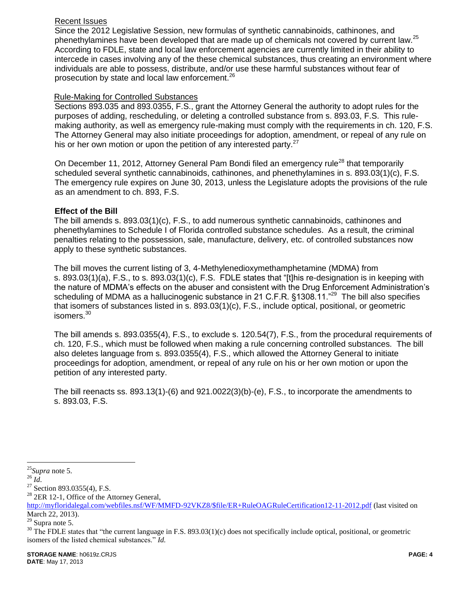### Recent Issues

Since the 2012 Legislative Session, new formulas of synthetic cannabinoids, cathinones, and phenethylamines have been developed that are made up of chemicals not covered by current law.<sup>25</sup> According to FDLE, state and local law enforcement agencies are currently limited in their ability to intercede in cases involving any of the these chemical substances, thus creating an environment where individuals are able to possess, distribute, and/or use these harmful substances without fear of prosecution by state and local law enforcement.<sup>26</sup>

#### Rule-Making for Controlled Substances

Sections 893.035 and 893.0355, F.S., grant the Attorney General the authority to adopt rules for the purposes of adding, rescheduling, or deleting a controlled substance from s. 893.03, F.S. This rulemaking authority, as well as emergency rule-making must comply with the requirements in ch. 120, F.S. The Attorney General may also initiate proceedings for adoption, amendment, or repeal of any rule on his or her own motion or upon the petition of any interested party.<sup>27</sup>

On December 11, 2012, Attorney General Pam Bondi filed an emergency rule<sup>28</sup> that temporarily scheduled several synthetic cannabinoids, cathinones, and phenethylamines in s. 893.03(1)(c), F.S. The emergency rule expires on June 30, 2013, unless the Legislature adopts the provisions of the rule as an amendment to ch. 893, F.S.

#### **Effect of the Bill**

The bill amends s. 893.03(1)(c), F.S., to add numerous synthetic cannabinoids, cathinones and phenethylamines to Schedule I of Florida controlled substance schedules. As a result, the criminal penalties relating to the possession, sale, manufacture, delivery, etc. of controlled substances now apply to these synthetic substances.

The bill moves the current listing of 3, 4-Methylenedioxymethamphetamine (MDMA) from s. 893.03(1)(a), F.S., to s. 893.03(1)(c), F.S. FDLE states that "[t]his re-designation is in keeping with the nature of MDMA's effects on the abuser and consistent with the Drug Enforcement Administration's scheduling of MDMA as a hallucinogenic substance in 21 C.F.R. §1308.11."<sup>29</sup> The bill also specifies that isomers of substances listed in s. 893.03(1)(c), F.S., include optical, positional, or geometric isomers.<sup>30</sup>

The bill amends s. 893.0355(4), F.S., to exclude s. 120.54(7), F.S., from the procedural requirements of ch. 120, F.S., which must be followed when making a rule concerning controlled substances. The bill also deletes language from s. 893.0355(4), F.S., which allowed the Attorney General to initiate proceedings for adoption, amendment, or repeal of any rule on his or her own motion or upon the petition of any interested party.

The bill reenacts ss. 893.13(1)-(6) and 921.0022(3)(b)-(e), F.S., to incorporate the amendments to s. 893.03, F.S.

 $\overline{a}$ 

 $28$  2ER 12-1, Office of the Attorney General,

<sup>25</sup>*Supra* note 5.

 $^{26}$   $I\hat{d}.$ 

 $27$  Section 893.0355(4), F.S.

[http://myfloridalegal.com/webfiles.nsf/WF/MMFD-92VKZ8/\\$file/ER+RuleOAGRuleCertification12-11-2012.pdf](http://myfloridalegal.com/webfiles.nsf/WF/MMFD-92VKZ8/$file/ER+RuleOAGRuleCertification12-11-2012.pdf) (last visited on March 22, 2013).

 $29$  Supra note 5.

 $30$  The FDLE states that "the current language in F.S. 893.03(1)(c) does not specifically include optical, positional, or geometric isomers of the listed chemical substances." *Id.*